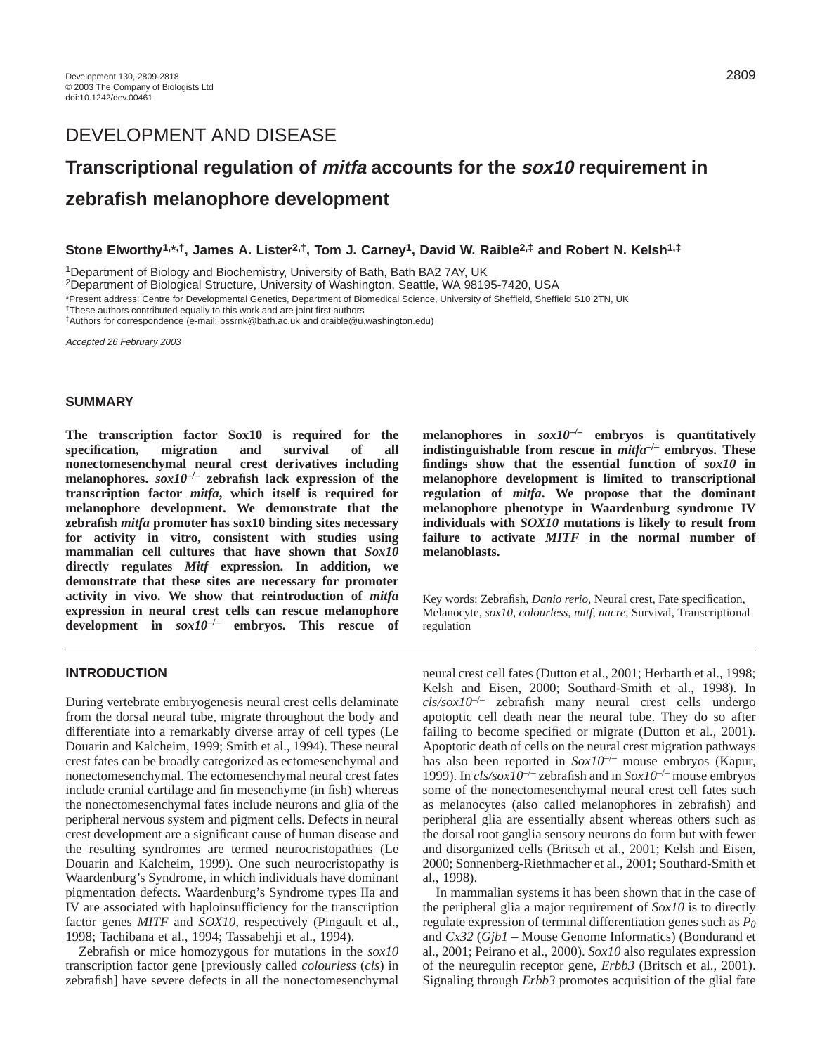# **Transcriptional regulation of mitfa accounts for the sox10 requirement in zebrafish melanophore development**

**Stone Elworthy1,\*,†, James A. Lister2,†, Tom J. Carney1, David W. Raible2,‡ and Robert N. Kelsh1,‡**

1Department of Biology and Biochemistry, University of Bath, Bath BA2 7AY, UK

2Department of Biological Structure, University of Washington, Seattle, WA 98195-7420, USA

\*Present address: Centre for Developmental Genetics, Department of Biomedical Science, University of Sheffield, Sheffield S10 2TN, UK

†These authors contributed equally to this work and are joint first authors

‡Authors for correspondence (e-mail: bssrnk@bath.ac.uk and draible@u.washington.edu)

Accepted 26 February 2003

## **SUMMARY**

**The transcription factor Sox10 is required for the specification, migration and survival of all nonectomesenchymal neural crest derivatives including melanophores.** *sox10***–/– zebrafish lack expression of the transcription factor** *mitfa***, which itself is required for melanophore development. We demonstrate that the zebrafish** *mitfa* **promoter has sox10 binding sites necessary for activity in vitro, consistent with studies using mammalian cell cultures that have shown that** *Sox10* **directly regulates** *Mitf* **expression. In addition, we demonstrate that these sites are necessary for promoter activity in vivo. We show that reintroduction of** *mitfa* **expression in neural crest cells can rescue melanophore development in** *sox10***–/– embryos. This rescue of**

# **INTRODUCTION**

During vertebrate embryogenesis neural crest cells delaminate from the dorsal neural tube, migrate throughout the body and differentiate into a remarkably diverse array of cell types (Le Douarin and Kalcheim, 1999; Smith et al., 1994). These neural crest fates can be broadly categorized as ectomesenchymal and nonectomesenchymal. The ectomesenchymal neural crest fates include cranial cartilage and fin mesenchyme (in fish) whereas the nonectomesenchymal fates include neurons and glia of the peripheral nervous system and pigment cells. Defects in neural crest development are a significant cause of human disease and the resulting syndromes are termed neurocristopathies (Le Douarin and Kalcheim, 1999). One such neurocristopathy is Waardenburg's Syndrome, in which individuals have dominant pigmentation defects. Waardenburg's Syndrome types IIa and IV are associated with haploinsufficiency for the transcription factor genes *MITF* and *SOX10*, respectively (Pingault et al., 1998; Tachibana et al., 1994; Tassabehji et al., 1994).

Zebrafish or mice homozygous for mutations in the *sox10* transcription factor gene [previously called *colourless* (*cls*) in zebrafish] have severe defects in all the nonectomesenchymal

**melanophores** in  $sox10^{-/-}$  **embryos** is quantitatively **indistinguishable from rescue in** *mitfa***–/– embryos. These findings show that the essential function of** *sox10* **in melanophore development is limited to transcriptional regulation of** *mitfa***. We propose that the dominant melanophore phenotype in Waardenburg syndrome IV individuals with** *SOX10* **mutations is likely to result from failure to activate** *MITF* **in the normal number of melanoblasts.**

Key words: Zebrafish, *Danio rerio*, Neural crest, Fate specification, Melanocyte, *sox10*, *colourless*, *mitf*, *nacre*, Survival, Transcriptional regulation

neural crest cell fates (Dutton et al., 2001; Herbarth et al., 1998; Kelsh and Eisen, 2000; Southard-Smith et al., 1998). In *cls/sox10*–/– zebrafish many neural crest cells undergo apotoptic cell death near the neural tube. They do so after failing to become specified or migrate (Dutton et al., 2001). Apoptotic death of cells on the neural crest migration pathways has also been reported in *Sox10<sup>-/-</sup>* mouse embryos (Kapur, 1999). In *cls/sox10*–/– zebrafish and in *Sox10*–/– mouse embryos some of the nonectomesenchymal neural crest cell fates such as melanocytes (also called melanophores in zebrafish) and peripheral glia are essentially absent whereas others such as the dorsal root ganglia sensory neurons do form but with fewer and disorganized cells (Britsch et al., 2001; Kelsh and Eisen, 2000; Sonnenberg-Riethmacher et al., 2001; Southard-Smith et al., 1998).

In mammalian systems it has been shown that in the case of the peripheral glia a major requirement of *Sox10* is to directly regulate expression of terminal differentiation genes such as *P0* and *Cx32* (*Gjb1 –* Mouse Genome Informatics) (Bondurand et al., 2001; Peirano et al., 2000). *Sox10* also regulates expression of the neuregulin receptor gene, *Erbb3* (Britsch et al., 2001). Signaling through *Erbb3* promotes acquisition of the glial fate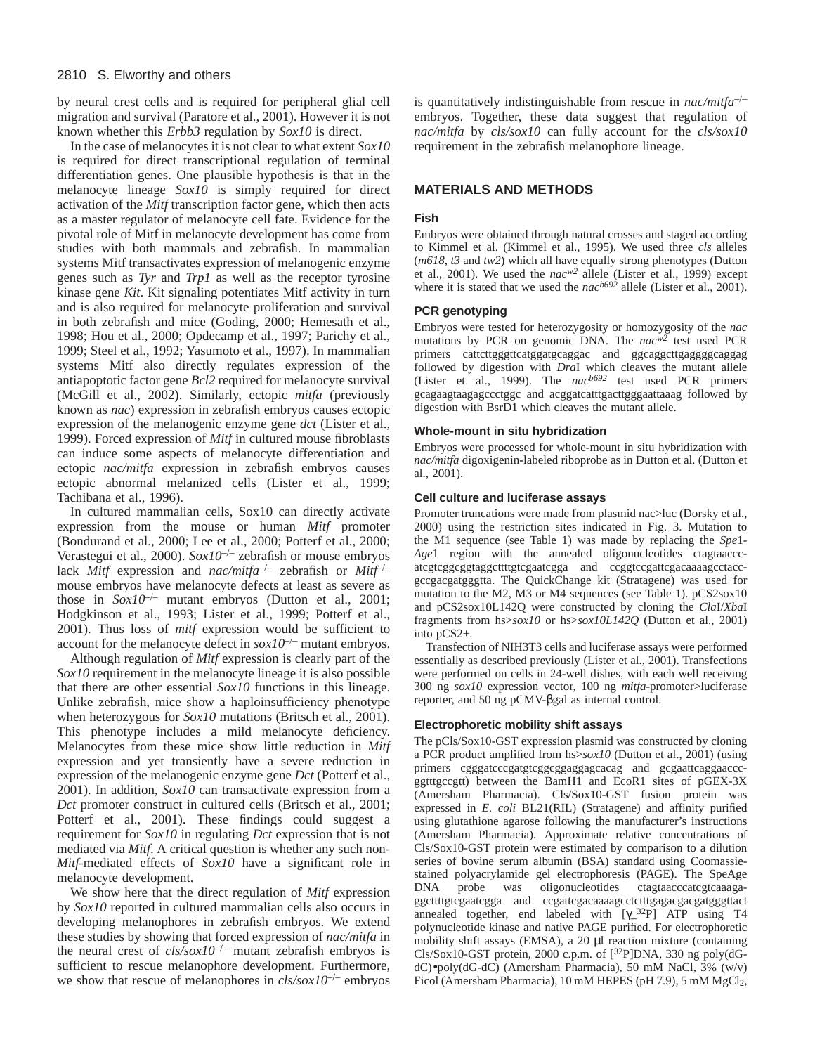by neural crest cells and is required for peripheral glial cell migration and survival (Paratore et al., 2001). However it is not known whether this *Erbb3* regulation by *Sox10* is direct.

In the case of melanocytes it is not clear to what extent *Sox10* is required for direct transcriptional regulation of terminal differentiation genes. One plausible hypothesis is that in the melanocyte lineage *Sox10* is simply required for direct activation of the *Mitf* transcription factor gene, which then acts as a master regulator of melanocyte cell fate. Evidence for the pivotal role of Mitf in melanocyte development has come from studies with both mammals and zebrafish. In mammalian systems Mitf transactivates expression of melanogenic enzyme genes such as *Tyr* and *Trp1* as well as the receptor tyrosine kinase gene *Kit*. Kit signaling potentiates Mitf activity in turn and is also required for melanocyte proliferation and survival in both zebrafish and mice (Goding, 2000; Hemesath et al., 1998; Hou et al., 2000; Opdecamp et al., 1997; Parichy et al., 1999; Steel et al., 1992; Yasumoto et al., 1997). In mammalian systems Mitf also directly regulates expression of the antiapoptotic factor gene *Bcl2* required for melanocyte survival (McGill et al., 2002). Similarly, ectopic *mitfa* (previously known as *nac*) expression in zebrafish embryos causes ectopic expression of the melanogenic enzyme gene *dct* (Lister et al., 1999). Forced expression of *Mitf* in cultured mouse fibroblasts can induce some aspects of melanocyte differentiation and ectopic *nac/mitfa* expression in zebrafish embryos causes ectopic abnormal melanized cells (Lister et al., 1999; Tachibana et al., 1996).

In cultured mammalian cells, Sox10 can directly activate expression from the mouse or human *Mitf* promoter (Bondurand et al., 2000; Lee et al., 2000; Potterf et al., 2000; Verastegui et al., 2000). *Sox10<sup>-/-</sup>* zebrafish or mouse embryos lack *Mitf* expression and *nac/mitfa*–/– zebrafish or *Mitf*–/– mouse embryos have melanocyte defects at least as severe as those in  $Sox10^{-/-}$  mutant embryos (Dutton et al., 2001; Hodgkinson et al., 1993; Lister et al., 1999; Potterf et al., 2001). Thus loss of *mitf* expression would be sufficient to account for the melanocyte defect in  $sox10^{-/-}$  mutant embryos.

Although regulation of *Mitf* expression is clearly part of the *Sox10* requirement in the melanocyte lineage it is also possible that there are other essential *Sox10* functions in this lineage. Unlike zebrafish, mice show a haploinsufficiency phenotype when heterozygous for *Sox10* mutations (Britsch et al., 2001). This phenotype includes a mild melanocyte deficiency. Melanocytes from these mice show little reduction in *Mitf* expression and yet transiently have a severe reduction in expression of the melanogenic enzyme gene *Dct* (Potterf et al., 2001). In addition, *Sox10* can transactivate expression from a *Dct* promoter construct in cultured cells (Britsch et al., 2001; Potterf et al., 2001). These findings could suggest a requirement for *Sox10* in regulating *Dct* expression that is not mediated via *Mitf*. A critical question is whether any such non-*Mitf*-mediated effects of *Sox10* have a significant role in melanocyte development.

We show here that the direct regulation of *Mitf* expression by *Sox10* reported in cultured mammalian cells also occurs in developing melanophores in zebrafish embryos. We extend these studies by showing that forced expression of *nac/mitfa* in the neural crest of  $cls/sox10^{-/-}$  mutant zebrafish embryos is sufficient to rescue melanophore development. Furthermore, we show that rescue of melanophores in *cls/sox10*–/– embryos is quantitatively indistinguishable from rescue in *nac/mitfa*–/– embryos. Together, these data suggest that regulation of *nac/mitfa* by *cls/sox10* can fully account for the *cls/sox10* requirement in the zebrafish melanophore lineage.

# **MATERIALS AND METHODS**

## **Fish**

Embryos were obtained through natural crosses and staged according to Kimmel et al. (Kimmel et al., 1995). We used three *cls* alleles (*m618*, *t3* and *tw2*) which all have equally strong phenotypes (Dutton et al., 2001). We used the *nacw2* allele (Lister et al., 1999) except where it is stated that we used the *nacb692* allele (Lister et al., 2001).

## **PCR genotyping**

Embryos were tested for heterozygosity or homozygosity of the *nac* mutations by PCR on genomic DNA. The *nacw2* test used PCR primers cattcttgggttcatggatgcaggac and ggcaggcttgaggggcaggag followed by digestion with *Dra*I which cleaves the mutant allele (Lister et al., 1999). The *nacb692* test used PCR primers gcagaagtaagagccctggc and acggatcatttgacttgggaattaaag followed by digestion with BsrD1 which cleaves the mutant allele.

## **Whole-mount in situ hybridization**

Embryos were processed for whole-mount in situ hybridization with *nac/mitfa* digoxigenin-labeled riboprobe as in Dutton et al. (Dutton et al., 2001).

## **Cell culture and luciferase assays**

Promoter truncations were made from plasmid nac>luc (Dorsky et al., 2000) using the restriction sites indicated in Fig. 3. Mutation to the M1 sequence (see Table 1) was made by replacing the *Spe*1- *Age*1 region with the annealed oligonucleotides ctagtaacccatcgtcggcggtaggcttttgtcgaatcgga and ccggtccgattcgacaaaagcctaccgccgacgatgggtta. The QuickChange kit (Stratagene) was used for mutation to the M2, M3 or M4 sequences (see Table 1). pCS2sox10 and pCS2sox10L142Q were constructed by cloning the *Cla*I/*Xba*I fragments from hs>*sox10* or hs>*sox10L142Q* (Dutton et al., 2001) into pCS2+.

Transfection of NIH3T3 cells and luciferase assays were performed essentially as described previously (Lister et al., 2001). Transfections were performed on cells in 24-well dishes, with each well receiving 300 ng *sox10* expression vector, 100 ng *mitfa*-promoter>luciferase reporter, and 50 ng pCMV-βgal as internal control.

# **Electrophoretic mobility shift assays**

The pCls/Sox10-GST expression plasmid was constructed by cloning a PCR product amplified from hs>*sox10* (Dutton et al., 2001) (using primers cgggatcccgatgtcggcggaggagcacag and gcgaattcaggaacccggtttgccgtt) between the BamH1 and EcoR1 sites of pGEX-3X (Amersham Pharmacia). Cls/Sox10-GST fusion protein was expressed in *E. coli* BL21(RIL) (Stratagene) and affinity purified using glutathione agarose following the manufacturer's instructions (Amersham Pharmacia). Approximate relative concentrations of Cls/Sox10-GST protein were estimated by comparison to a dilution series of bovine serum albumin (BSA) standard using Coomassiestained polyacrylamide gel electrophoresis (PAGE). The SpeAge DNA probe was oligonucleotides ctagtaacccatcgtcaaagaggcttttgtcgaatcgga and ccgattcgacaaaagcctctttgagacgacgatgggttact annealed together, end labeled with  $[\gamma_{2}^{32}P]$  ATP using T4 polynucleotide kinase and native PAGE purified. For electrophoretic mobility shift assays (EMSA), a 20 µl reaction mixture (containing Cls/Sox10-GST protein, 2000 c.p.m. of [32P]DNA, 330 ng poly(dGdC)•poly(dG-dC) (Amersham Pharmacia), 50 mM NaCl, 3% (w/v) Ficol (Amersham Pharmacia), 10 mM HEPES (pH 7.9), 5 mM MgCl<sub>2</sub>,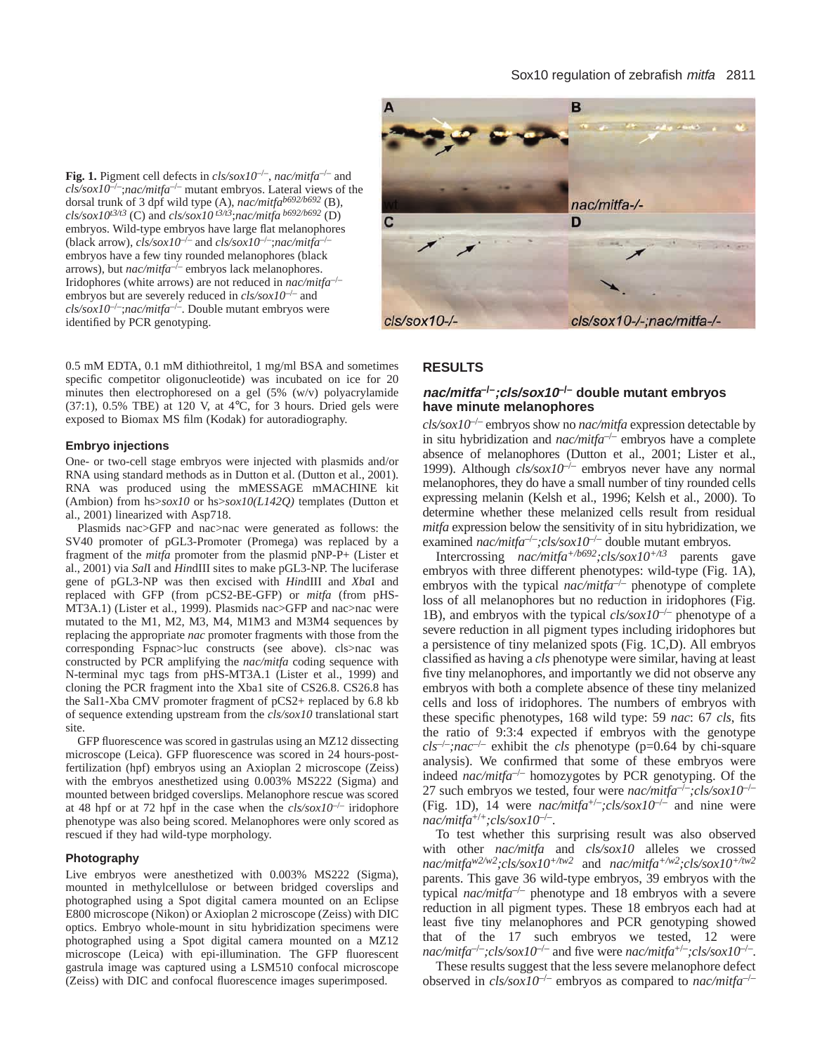## Sox10 regulation of zebrafish mitfa 2811

**Fig. 1.** Pigment cell defects in *cls/sox10*–/–, *nac/mitfa*–/– and *cls/sox10*–/–;*nac/mitfa*–/– mutant embryos. Lateral views of the dorsal trunk of 3 dpf wild type (A), *nac/mitfab692/b692* (B), *cls/sox10t3/t3* (C) and *cls/sox10 t3/t3*;*nac/mitfa b692/b692* (D) embryos. Wild-type embryos have large flat melanophores (black arrow), *cls/sox10*–/– and *cls/sox10*–/–;*nac/mitfa*–/– embryos have a few tiny rounded melanophores (black arrows), but *nac/mitfa*–/– embryos lack melanophores. Iridophores (white arrows) are not reduced in *nac/mitfa*–/– embryos but are severely reduced in *cls/sox10<sup>-/-</sup>* and *cls/sox10*–/–;*nac/mitfa*–/–. Double mutant embryos were identified by PCR genotyping.

0.5 mM EDTA, 0.1 mM dithiothreitol, 1 mg/ml BSA and sometimes specific competitor oligonucleotide) was incubated on ice for 20 minutes then electrophoresed on a gel (5% (w/v) polyacrylamide  $(37:1)$ , 0.5% TBE) at 120 V, at 4 $\degree$ C, for 3 hours. Dried gels were exposed to Biomax MS film (Kodak) for autoradiography.

## **Embryo injections**

One- or two-cell stage embryos were injected with plasmids and/or RNA using standard methods as in Dutton et al. (Dutton et al., 2001). RNA was produced using the mMESSAGE mMACHINE kit (Ambion) from hs>*sox10* or hs>*sox10(L142Q)* templates (Dutton et al., 2001) linearized with Asp718.

Plasmids nac>GFP and nac>nac were generated as follows: the SV40 promoter of pGL3-Promoter (Promega) was replaced by a fragment of the *mitfa* promoter from the plasmid pNP-P+ (Lister et al., 2001) via *Sal*I and *Hin*dIII sites to make pGL3-NP. The luciferase gene of pGL3-NP was then excised with *Hin*dIII and *Xba*I and replaced with GFP (from pCS2-BE-GFP) or *mitfa* (from pHS-MT3A.1) (Lister et al., 1999). Plasmids nac>GFP and nac>nac were mutated to the M1, M2, M3, M4, M1M3 and M3M4 sequences by replacing the appropriate *nac* promoter fragments with those from the corresponding Fspnac>luc constructs (see above). cls>nac was constructed by PCR amplifying the *nac/mitfa* coding sequence with N-terminal myc tags from pHS-MT3A.1 (Lister et al., 1999) and cloning the PCR fragment into the Xba1 site of CS26.8. CS26.8 has the Sal1-Xba CMV promoter fragment of pCS2+ replaced by 6.8 kb of sequence extending upstream from the *cls/sox10* translational start site.

GFP fluorescence was scored in gastrulas using an MZ12 dissecting microscope (Leica). GFP fluorescence was scored in 24 hours-postfertilization (hpf) embryos using an Axioplan 2 microscope (Zeiss) with the embryos anesthetized using 0.003% MS222 (Sigma) and mounted between bridged coverslips. Melanophore rescue was scored at 48 hpf or at 72 hpf in the case when the  $\frac{cls}{s}$  $\frac{alpha10^{-/-}}{i}$  iridophore phenotype was also being scored. Melanophores were only scored as rescued if they had wild-type morphology.

#### **Photography**

Live embryos were anesthetized with 0.003% MS222 (Sigma), mounted in methylcellulose or between bridged coverslips and photographed using a Spot digital camera mounted on an Eclipse E800 microscope (Nikon) or Axioplan 2 microscope (Zeiss) with DIC optics. Embryo whole-mount in situ hybridization specimens were photographed using a Spot digital camera mounted on a MZ12 microscope (Leica) with epi-illumination. The GFP fluorescent gastrula image was captured using a LSM510 confocal microscope (Zeiss) with DIC and confocal fluorescence images superimposed.



## **RESULTS**

# **nac/mitfa–/–;cls/sox10–/– double mutant embryos have minute melanophores**

 $\frac{cls/sox10^{-/-}}{e^{-(s-s)c}}$  embryos show no *nac/mitfa* expression detectable by in situ hybridization and  $nac/mif a^{-/-}$  embryos have a complete absence of melanophores (Dutton et al., 2001; Lister et al., 1999). Although  $c\bar{l}$ s/sox $10^{-/-}$  embryos never have any normal melanophores, they do have a small number of tiny rounded cells expressing melanin (Kelsh et al., 1996; Kelsh et al., 2000). To determine whether these melanized cells result from residual *mitfa* expression below the sensitivity of in situ hybridization, we examined *nac/mitfa<sup>-/-</sup>;cls/sox10<sup>-/-</sup>* double mutant embryos.

Intercrossing *nac/mitfa+/b692;cls/sox10+/t3* parents gave embryos with three different phenotypes: wild-type (Fig. 1A), embryos with the typical *nac/mitfa<sup>-/-</sup>* phenotype of complete loss of all melanophores but no reduction in iridophores (Fig. 1B), and embryos with the typical *cls/sox10*–/– phenotype of a severe reduction in all pigment types including iridophores but a persistence of tiny melanized spots (Fig. 1C,D). All embryos classified as having a *cls* phenotype were similar, having at least five tiny melanophores, and importantly we did not observe any embryos with both a complete absence of these tiny melanized cells and loss of iridophores. The numbers of embryos with these specific phenotypes, 168 wild type: 59 *nac*: 67 *cls*, fits the ratio of 9:3:4 expected if embryos with the genotype  $cls^{-/-}$ ;*nac*<sup> $-/-$ </sup> exhibit the *cls* phenotype (p=0.64 by chi-square analysis). We confirmed that some of these embryos were indeed *nac/mitfa*–/– homozygotes by PCR genotyping. Of the 27 such embryos we tested, four were *nac/mitfa*–/–*;cls/sox10*–/– (Fig. 1D), 14 were  $nac/mifa^{+/-}$ ;*cls/sox10<sup>-/-</sup>* and nine were *nac/mitfa*+/+*;cls/sox10*–/–.

To test whether this surprising result was also observed with other *nac/mitfa* and *cls/sox10* alleles we crossed *nac/mitfaw2/w2;cls/sox10+/tw2* and *nac/mitfa+/w2;cls/sox10+/tw2* parents. This gave 36 wild-type embryos, 39 embryos with the typical *nac/mitfa*–/– phenotype and 18 embryos with a severe reduction in all pigment types. These 18 embryos each had at least five tiny melanophores and PCR genotyping showed that of the 17 such embryos we tested, 12 were  $rac{mac}{mitfa^{-/-}$ ;*cls/sox10<sup>-/–</sup>* and five were  $rac{mac}{mitfa^{+/-}}$ ;*cls/sox10<sup>-/–</sup>.* 

These results suggest that the less severe melanophore defect observed in *cls/sox10*–/– embryos as compared to *nac/mitfa*–/–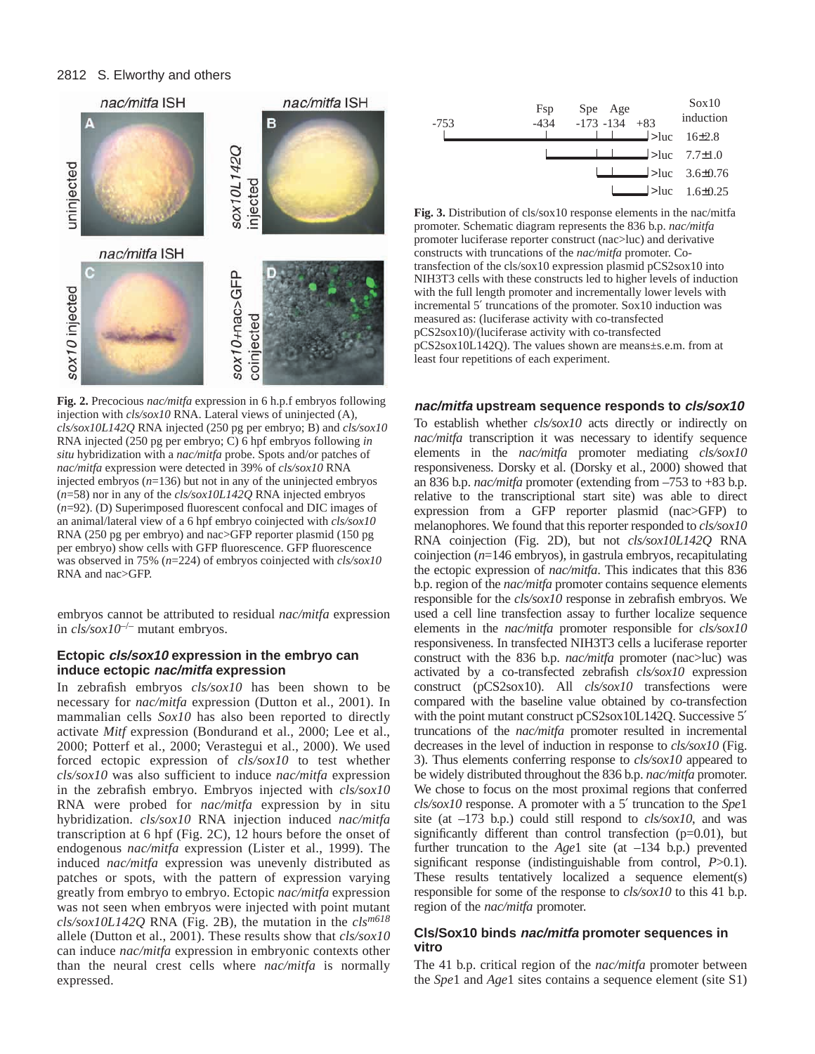# 2812 S. Elworthy and others



**Fig. 2.** Precocious *nac/mitfa* expression in 6 h.p.f embryos following injection with *cls/sox10* RNA. Lateral views of uninjected (A)*, cls/sox10L142Q* RNA injected (250 pg per embryo; B) and *cls/sox10* RNA injected (250 pg per embryo; C) 6 hpf embryos following *in situ* hybridization with a *nac/mitfa* probe. Spots and/or patches of *nac/mitfa* expression were detected in 39% of *cls/sox10* RNA injected embryos (*n*=136) but not in any of the uninjected embryos (*n*=58) nor in any of the *cls/sox10L142Q* RNA injected embryos (*n*=92). (D) Superimposed fluorescent confocal and DIC images of an animal/lateral view of a 6 hpf embryo coinjected with *cls/sox10* RNA (250 pg per embryo) and nac>GFP reporter plasmid (150 pg per embryo) show cells with GFP fluorescence. GFP fluorescence was observed in 75% (*n*=224) of embryos coinjected with *cls/sox10* RNA and nac>GFP.

embryos cannot be attributed to residual *nac/mitfa* expression in *cls/sox10*–/– mutant embryos.

# **Ectopic cls/sox10 expression in the embryo can induce ectopic nac/mitfa expression**

In zebrafish embryos *cls/sox10* has been shown to be necessary for *nac/mitfa* expression (Dutton et al., 2001). In mammalian cells *Sox10* has also been reported to directly activate *Mitf* expression (Bondurand et al., 2000; Lee et al., 2000; Potterf et al., 2000; Verastegui et al., 2000). We used forced ectopic expression of *cls/sox10* to test whether *cls/sox10* was also sufficient to induce *nac/mitfa* expression in the zebrafish embryo. Embryos injected with *cls/sox10* RNA were probed for *nac/mitfa* expression by in situ hybridization. *cls/sox10* RNA injection induced *nac/mitfa* transcription at 6 hpf (Fig. 2C), 12 hours before the onset of endogenous *nac/mitfa* expression (Lister et al., 1999). The induced *nac/mitfa* expression was unevenly distributed as patches or spots, with the pattern of expression varying greatly from embryo to embryo. Ectopic *nac/mitfa* expression was not seen when embryos were injected with point mutant *cls/sox10L142Q* RNA (Fig. 2B), the mutation in the *clsm618* allele (Dutton et al., 2001). These results show that *cls/sox10* can induce *nac/mitfa* expression in embryonic contexts other than the neural crest cells where *nac/mitfa* is normally expressed.



**Fig. 3.** Distribution of cls/sox10 response elements in the nac/mitfa promoter. Schematic diagram represents the 836 b.p. *nac/mitfa* promoter luciferase reporter construct (nac>luc) and derivative constructs with truncations of the *nac/mitfa* promoter. Cotransfection of the cls/sox10 expression plasmid pCS2sox10 into NIH3T3 cells with these constructs led to higher levels of induction with the full length promoter and incrementally lower levels with incremental 5′ truncations of the promoter. Sox10 induction was measured as: (luciferase activity with co-transfected pCS2sox10)/(luciferase activity with co-transfected pCS2sox10L142Q). The values shown are means±s.e.m. from at least four repetitions of each experiment.

## **nac/mitfa upstream sequence responds to cls/sox10**

To establish whether *cls/sox10* acts directly or indirectly on *nac/mitfa* transcription it was necessary to identify sequence elements in the *nac/mitfa* promoter mediating *cls/sox10* responsiveness. Dorsky et al. (Dorsky et al., 2000) showed that an 836 b.p. *nac/mitfa* promoter (extending from –753 to +83 b.p. relative to the transcriptional start site) was able to direct expression from a GFP reporter plasmid (nac>GFP) to melanophores. We found that this reporter responded to *cls/sox10* RNA coinjection (Fig. 2D), but not *cls/sox10L142Q* RNA coinjection (*n*=146 embryos), in gastrula embryos, recapitulating the ectopic expression of *nac/mitfa*. This indicates that this 836 b.p. region of the *nac/mitfa* promoter contains sequence elements responsible for the *cls/sox10* response in zebrafish embryos. We used a cell line transfection assay to further localize sequence elements in the *nac/mitfa* promoter responsible for *cls/sox10* responsiveness. In transfected NIH3T3 cells a luciferase reporter construct with the 836 b.p. *nac/mitfa* promoter (nac>luc) was activated by a co-transfected zebrafish *cls/sox10* expression construct (pCS2sox10). All *cls/sox10* transfections were compared with the baseline value obtained by co-transfection with the point mutant construct pCS2sox10L142Q. Successive 5' truncations of the *nac/mitfa* promoter resulted in incremental decreases in the level of induction in response to *cls/sox10* (Fig. 3). Thus elements conferring response to *cls/sox10* appeared to be widely distributed throughout the 836 b.p. *nac/mitfa* promoter. We chose to focus on the most proximal regions that conferred *cls/sox10* response. A promoter with a 5′ truncation to the *Spe*1 site (at –173 b.p.) could still respond to *cls/sox10*, and was significantly different than control transfection (p=0.01), but further truncation to the *Age*1 site (at –134 b.p.) prevented significant response (indistinguishable from control, *P*>0.1). These results tentatively localized a sequence element(s) responsible for some of the response to *cls/sox10* to this 41 b.p. region of the *nac/mitfa* promoter.

# **Cls/Sox10 binds nac/mitfa promoter sequences in vitro**

The 41 b.p. critical region of the *nac/mitfa* promoter between the *Spe*1 and *Age*1 sites contains a sequence element (site S1)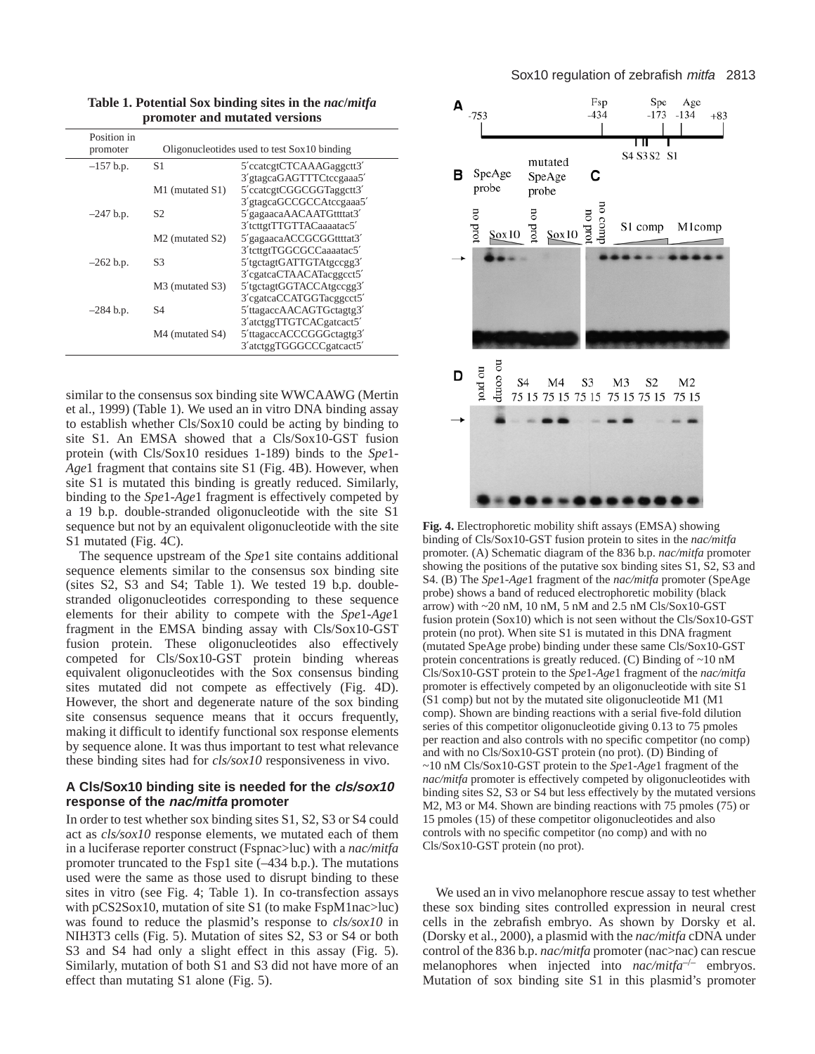| Position in<br>promoter | Oligonucleotides used to test Sox10 binding |                                                                                  |  |  |
|-------------------------|---------------------------------------------|----------------------------------------------------------------------------------|--|--|
| $-157$ b.p.             | S <sub>1</sub>                              | 5'ccatcgtCTCAAAGaggctt3'<br>3'gtagcaGAGTTTCtccgaaa5'                             |  |  |
|                         | M1 (mutated S1)                             | 5'ccatcgtCGGCGGTaggctt3'<br>3'gtagcaGCCGCCAtccgaaa5'                             |  |  |
| $-247$ b.p.             | S <sub>2</sub>                              | 5'gagaacaAACAATGttttat3'<br>3'tcttgtTTGTTACaaaatac5'                             |  |  |
|                         | M <sub>2</sub> (mutated S <sub>2</sub> )    | 5'gagaacaACCGCGGttttat3'                                                         |  |  |
| $-262$ b.p.             | S <sub>3</sub>                              | 3'tcttgtTGGCGCCaaaatac5'<br>5'tgctagtGATTGTAtgccgg3'                             |  |  |
|                         | M3 (mutated S3)                             | 3'cgatcaCTAACATacggcct5'<br>5'tgctagtGGTACCAtgccgg3'                             |  |  |
| $-284$ b.p.             | S4                                          | 3'cgatcaCCATGGTacggcct5'<br>5'ttagaccAACAGTGctagtg3'                             |  |  |
|                         | M4 (mutated S4)                             | 3'atctggTTGTCACgatcact5'<br>5'ttagaccACCCGGGctagtg3'<br>3'atctggTGGGCCCgatcact5' |  |  |

**Table 1. Potential Sox binding sites in the** *nac***/***mitfa* **promoter and mutated versions**

similar to the consensus sox binding site WWCAAWG (Mertin et al., 1999) (Table 1). We used an in vitro DNA binding assay to establish whether Cls/Sox10 could be acting by binding to site S1. An EMSA showed that a Cls/Sox10-GST fusion protein (with Cls/Sox10 residues 1-189) binds to the *Spe*1- *Age*1 fragment that contains site S1 (Fig. 4B). However, when site S1 is mutated this binding is greatly reduced. Similarly, binding to the *Spe*1-*Age*1 fragment is effectively competed by a 19 b.p. double-stranded oligonucleotide with the site S1 sequence but not by an equivalent oligonucleotide with the site S1 mutated (Fig. 4C).

The sequence upstream of the *Spe*1 site contains additional sequence elements similar to the consensus sox binding site (sites S2, S3 and S4; Table 1). We tested 19 b.p. doublestranded oligonucleotides corresponding to these sequence elements for their ability to compete with the *Spe*1-*Age*1 fragment in the EMSA binding assay with Cls/Sox10-GST fusion protein. These oligonucleotides also effectively competed for Cls/Sox10-GST protein binding whereas equivalent oligonucleotides with the Sox consensus binding sites mutated did not compete as effectively (Fig. 4D). However, the short and degenerate nature of the sox binding site consensus sequence means that it occurs frequently, making it difficult to identify functional sox response elements by sequence alone. It was thus important to test what relevance these binding sites had for *cls/sox10* responsiveness in vivo.

## **A Cls/Sox10 binding site is needed for the cls/sox10 response of the nac/mitfa promoter**

In order to test whether sox binding sites S1, S2, S3 or S4 could act as *cls/sox10* response elements, we mutated each of them in a luciferase reporter construct (Fspnac>luc) with a *nac/mitfa* promoter truncated to the Fsp1 site (–434 b.p.). The mutations used were the same as those used to disrupt binding to these sites in vitro (see Fig. 4; Table 1). In co-transfection assays with pCS2Sox10, mutation of site S1 (to make FspM1nac>luc) was found to reduce the plasmid's response to *cls/sox10* in NIH3T3 cells (Fig. 5). Mutation of sites S2, S3 or S4 or both S3 and S4 had only a slight effect in this assay (Fig. 5). Similarly, mutation of both S1 and S3 did not have more of an effect than mutating S1 alone (Fig. 5).



**Fig. 4.** Electrophoretic mobility shift assays (EMSA) showing binding of Cls/Sox10-GST fusion protein to sites in the *nac/mitfa* promoter. (A) Schematic diagram of the 836 b.p. *nac/mitfa* promoter showing the positions of the putative sox binding sites S1, S2, S3 and S4. (B) The *Spe*1-*Age*1 fragment of the *nac/mitfa* promoter (SpeAge probe) shows a band of reduced electrophoretic mobility (black arrow) with ~20 nM, 10 nM, 5 nM and 2.5 nM Cls/Sox10-GST fusion protein (Sox10) which is not seen without the Cls/Sox10-GST protein (no prot). When site S1 is mutated in this DNA fragment (mutated SpeAge probe) binding under these same Cls/Sox10-GST protein concentrations is greatly reduced. (C) Binding of ~10 nM Cls/Sox10-GST protein to the *Spe*1-*Age*1 fragment of the *nac/mitfa* promoter is effectively competed by an oligonucleotide with site S1 (S1 comp) but not by the mutated site oligonucleotide M1 (M1 comp). Shown are binding reactions with a serial five-fold dilution series of this competitor oligonucleotide giving 0.13 to 75 pmoles per reaction and also controls with no specific competitor (no comp) and with no Cls/Sox10-GST protein (no prot). (D) Binding of ~10 nM Cls/Sox10-GST protein to the *Spe*1-*Age*1 fragment of the *nac/mitfa* promoter is effectively competed by oligonucleotides with binding sites S2, S3 or S4 but less effectively by the mutated versions M2, M3 or M4. Shown are binding reactions with 75 pmoles (75) or 15 pmoles (15) of these competitor oligonucleotides and also controls with no specific competitor (no comp) and with no Cls/Sox10-GST protein (no prot).

We used an in vivo melanophore rescue assay to test whether these sox binding sites controlled expression in neural crest cells in the zebrafish embryo. As shown by Dorsky et al. (Dorsky et al., 2000), a plasmid with the *nac/mitfa* cDNA under control of the 836 b.p. *nac/mitfa* promoter (nac>nac) can rescue melanophores when injected into *nac/mitfa*–/– embryos. Mutation of sox binding site S1 in this plasmid's promoter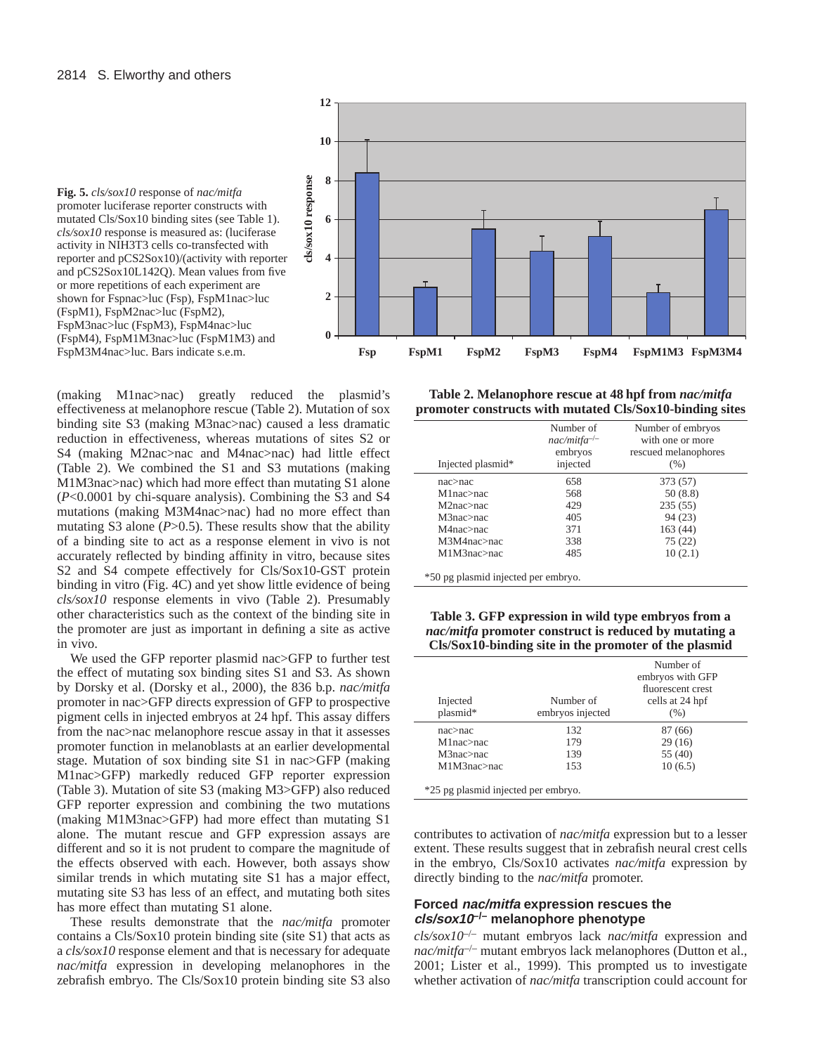

(making M1nac>nac) greatly reduced the plasmid's effectiveness at melanophore rescue (Table 2). Mutation of sox binding site S3 (making M3nac>nac) caused a less dramatic reduction in effectiveness, whereas mutations of sites S2 or S4 (making M2nac>nac and M4nac>nac) had little effect (Table 2). We combined the S1 and S3 mutations (making M1M3nac>nac) which had more effect than mutating S1 alone (*P*<0.0001 by chi-square analysis). Combining the S3 and S4 mutations (making M3M4nac>nac) had no more effect than mutating S3 alone  $(P>0.5)$ . These results show that the ability of a binding site to act as a response element in vivo is not accurately reflected by binding affinity in vitro, because sites S2 and S4 compete effectively for Cls/Sox10-GST protein shown for Fspnac>luc (Fsp), FspM1nac>luc (FspM1), FspM2nac>luc (FspM2), FspM3nac>luc (FspM3), FspM4nac>luc (FspM4), FspM1M3nac>luc (FspM1M3) and FspM3M4nac>luc. Bars indicate s.e.m.

**12**

binding in vitro (Fig. 4C) and yet show little evidence of being *cls/sox10* response elements in vivo (Table 2). Presumably other characteristics such as the context of the binding site in the promoter are just as important in defining a site as active in vivo.

We used the GFP reporter plasmid nac>GFP to further test the effect of mutating sox binding sites S1 and S3. As shown by Dorsky et al. (Dorsky et al., 2000), the 836 b.p. *nac/mitfa* promoter in nac>GFP directs expression of GFP to prospective pigment cells in injected embryos at 24 hpf. This assay differs from the nac>nac melanophore rescue assay in that it assesses promoter function in melanoblasts at an earlier developmental stage. Mutation of sox binding site S1 in nac>GFP (making M1nac>GFP) markedly reduced GFP reporter expression (Table 3). Mutation of site S3 (making M3>GFP) also reduced GFP reporter expression and combining the two mutations (making M1M3nac>GFP) had more effect than mutating S1 alone. The mutant rescue and GFP expression assays are different and so it is not prudent to compare the magnitude of the effects observed with each. However, both assays show similar trends in which mutating site S1 has a major effect, mutating site S3 has less of an effect, and mutating both sites has more effect than mutating S1 alone.

These results demonstrate that the *nac/mitfa* promoter contains a Cls/Sox10 protein binding site (site S1) that acts as a *cls/sox10* response element and that is necessary for adequate *nac/mitfa* expression in developing melanophores in the zebrafish embryo. The Cls/Sox10 protein binding site S3 also



| Injected plasmid* | Number of<br>$nac/mifra^{-/-}$<br>embryos<br>injected | Number of embryos<br>with one or more<br>rescued melanophores<br>(% ) |
|-------------------|-------------------------------------------------------|-----------------------------------------------------------------------|
| $nac>na$ c        | 658                                                   | 373 (57)                                                              |
| M1nac>nac         | 568                                                   | 50(8.8)                                                               |
| M2nac>nac         | 429                                                   | 235(55)                                                               |
| M3nac>nac         | 405                                                   | 94 (23)                                                               |
| M4nac>nac         | 371                                                   | 163 (44)                                                              |
| M3M4nac>nac       | 338                                                   | 75(22)                                                                |
| M1M3nac>nac       | 485                                                   | 10(2.1)                                                               |

**Table 3. GFP expression in wild type embryos from a** *nac/mitfa* **promoter construct is reduced by mutating a Cls/Sox10-binding site in the promoter of the plasmid**

| Injected<br>plasmid* | Number of<br>embryos injected | Number of<br>embryos with GFP<br>fluorescent crest<br>cells at 24 hpf<br>(% ) |
|----------------------|-------------------------------|-------------------------------------------------------------------------------|
| $nac>na$ c           | 132                           | 87 (66)                                                                       |
| $M1nac>na$ c         | 179                           | 29(16)                                                                        |
| M3nac>nac            | 139                           | 55 (40)                                                                       |
| M1M3nac>nac          | 153                           | 10(6.5)                                                                       |

contributes to activation of *nac/mitfa* expression but to a lesser extent. These results suggest that in zebrafish neural crest cells in the embryo, Cls/Sox10 activates *nac/mitfa* expression by directly binding to the *nac/mitfa* promoter.

# **Forced nac/mitfa expression rescues the cls/sox10–/– melanophore phenotype**

*cls/sox10*–/– mutant embryos lack *nac/mitfa* expression and *nac/mitfa*–/– mutant embryos lack melanophores (Dutton et al., 2001; Lister et al., 1999). This prompted us to investigate whether activation of *nac/mitfa* transcription could account for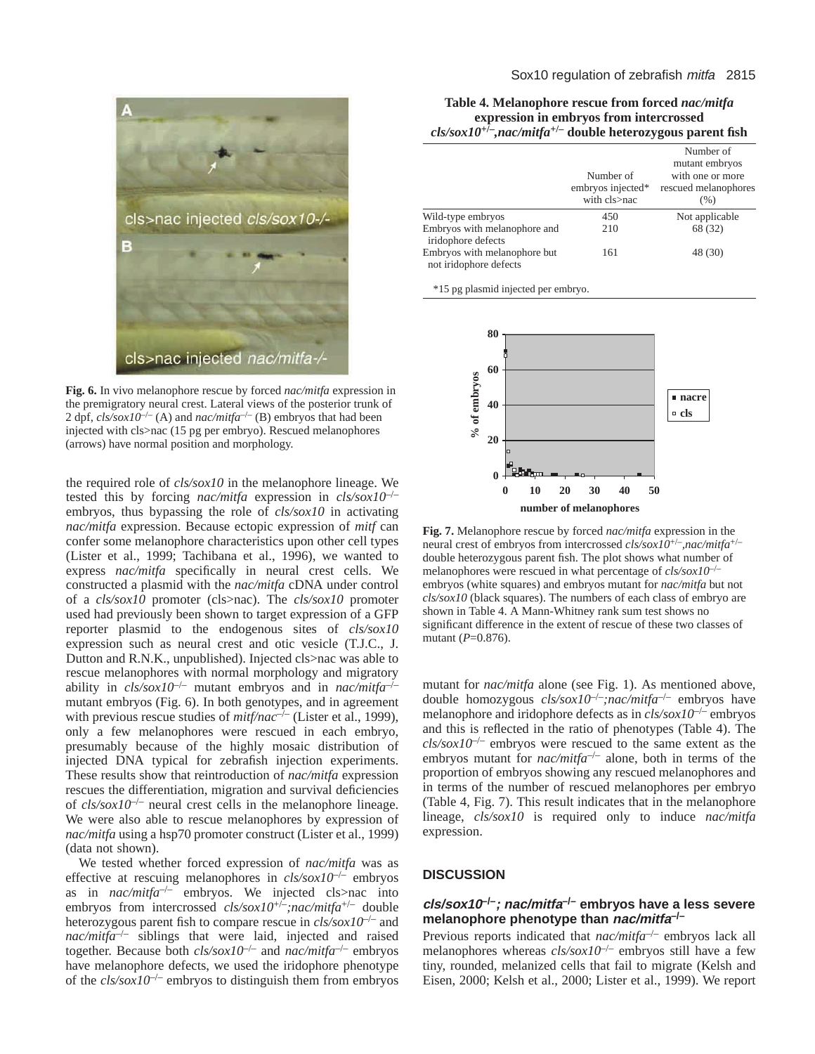

**Fig. 6.** In vivo melanophore rescue by forced *nac/mitfa* expression in the premigratory neural crest. Lateral views of the posterior trunk of 2 dpf,  $cls/sox10^{-/-}$  (A) and  $nac/miffa^{-/-}$  (B) embryos that had been injected with cls>nac (15 pg per embryo). Rescued melanophores (arrows) have normal position and morphology.

the required role of *cls/sox10* in the melanophore lineage. We tested this by forcing *nac/mitfa* expression in *cls/sox10*–/– embryos, thus bypassing the role of *cls/sox10* in activating *nac/mitfa* expression. Because ectopic expression of *mitf* can confer some melanophore characteristics upon other cell types (Lister et al., 1999; Tachibana et al., 1996), we wanted to express *nac/mitfa* specifically in neural crest cells. We constructed a plasmid with the *nac/mitfa* cDNA under control of a *cls/sox10* promoter (cls>nac). The *cls/sox10* promoter used had previously been shown to target expression of a GFP reporter plasmid to the endogenous sites of *cls/sox10* expression such as neural crest and otic vesicle (T.J.C., J. Dutton and R.N.K., unpublished). Injected cls>nac was able to rescue melanophores with normal morphology and migratory ability in *cls/sox10*–/– mutant embryos and in *nac/mitfa*–/– mutant embryos (Fig. 6). In both genotypes, and in agreement with previous rescue studies of *mitf/nac<sup>-/-</sup>* (Lister et al., 1999), only a few melanophores were rescued in each embryo, presumably because of the highly mosaic distribution of injected DNA typical for zebrafish injection experiments. These results show that reintroduction of *nac/mitfa* expression rescues the differentiation, migration and survival deficiencies of  $\frac{cls}{s}$ *ox10<sup>-/-</sup>* neural crest cells in the melanophore lineage. We were also able to rescue melanophores by expression of *nac/mitfa* using a hsp70 promoter construct (Lister et al., 1999) (data not shown).

We tested whether forced expression of *nac/mitfa* was as effective at rescuing melanophores in  $cls/sox10^{-/-}$  embryos as in *nac/mitfa*–/– embryos. We injected cls>nac into embryos from intercrossed *cls/sox10*+/–*;nac/mitfa*+/– double heterozygous parent fish to compare rescue in *cls/sox10*–/– and *nac/mitfa*–/– siblings that were laid, injected and raised together. Because both *cls/sox10*–/– and *nac/mitfa*–/– embryos have melanophore defects, we used the iridophore phenotype of the *cls/sox10*–/– embryos to distinguish them from embryos

| Table 4. Melanophore rescue from forced <i>nac/mitfa</i>                    |
|-----------------------------------------------------------------------------|
| expression in embryos from intercrossed                                     |
| $cls/sox10^{+/}$ , nac/mitfa <sup>+/-</sup> double heterozygous parent fish |

|                                                        | Number of<br>embryos injected*<br>with cls>nac | Number of<br>mutant embryos<br>with one or more<br>rescued melanophores<br>(% ) |
|--------------------------------------------------------|------------------------------------------------|---------------------------------------------------------------------------------|
| Wild-type embryos                                      | 450                                            | Not applicable                                                                  |
| Embryos with melanophore and<br>iridophore defects     | 210                                            | 68 (32)                                                                         |
| Embryos with melanophore but<br>not iridophore defects | 161                                            | 48 (30)                                                                         |

\*15 pg plasmid injected per embryo.



**Fig. 7.** Melanophore rescue by forced *nac/mitfa* expression in the neural crest of embryos from intercrossed *cls/sox10*+/–*,nac/mitfa*+/– double heterozygous parent fish. The plot shows what number of melanophores were rescued in what percentage of *cls/sox10*–/– embryos (white squares) and embryos mutant for *nac/mitfa* but not *cls/sox10* (black squares). The numbers of each class of embryo are shown in Table 4. A Mann-Whitney rank sum test shows no significant difference in the extent of rescue of these two classes of mutant (*P*=0.876).

mutant for *nac/mitfa* alone (see Fig. 1). As mentioned above, double homozygous *cls/sox10*–/–*;nac/mitfa*–/– embryos have melanophore and iridophore defects as in *cls/sox10*–/– embryos and this is reflected in the ratio of phenotypes (Table 4). The  $\frac{cls}{sox10^{-/-}}$  embryos were rescued to the same extent as the embryos mutant for *nac/mitfa<sup>-/-</sup>* alone, both in terms of the proportion of embryos showing any rescued melanophores and in terms of the number of rescued melanophores per embryo (Table 4, Fig. 7). This result indicates that in the melanophore lineage, *cls/sox10* is required only to induce *nac/mitfa* expression.

## **DISCUSSION**

## **cls/sox10–/–; nac/mitfa–/– embryos have a less severe melanophore phenotype than nac/mitfa–/–**

Previous reports indicated that *nac/mitfa*–/– embryos lack all melanophores whereas *cls/sox10*–/– embryos still have a few tiny, rounded, melanized cells that fail to migrate (Kelsh and Eisen, 2000; Kelsh et al., 2000; Lister et al., 1999). We report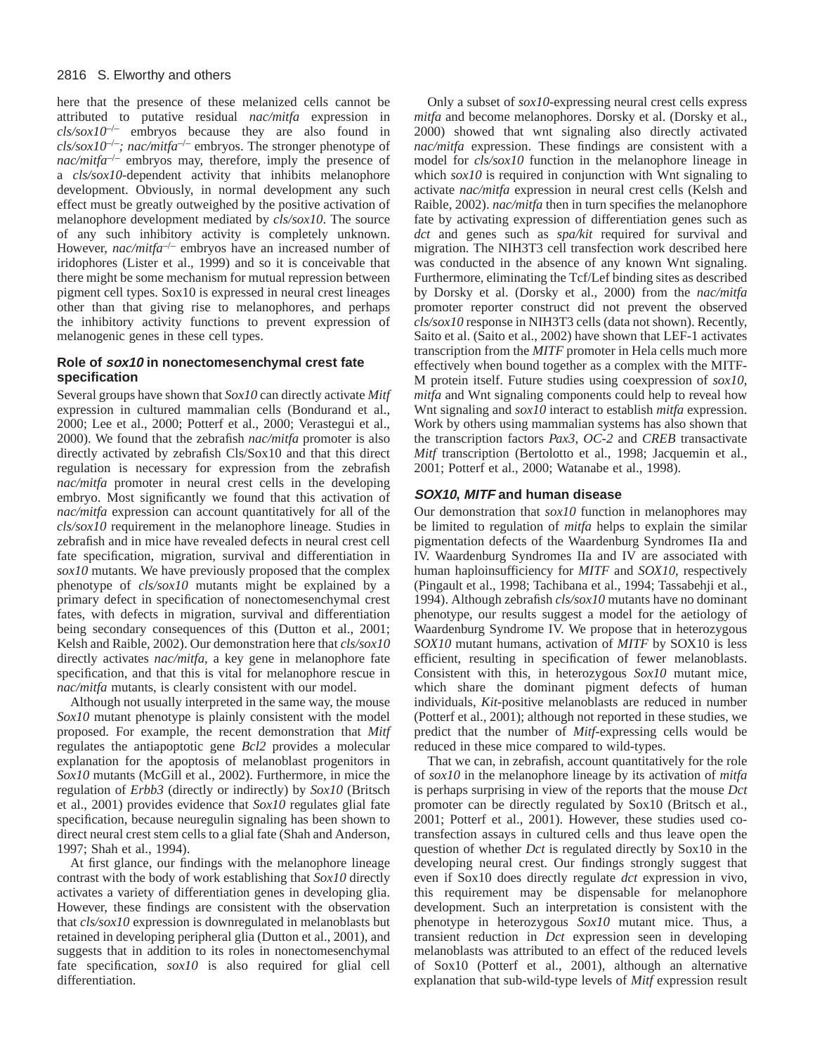# 2816 S. Elworthy and others

here that the presence of these melanized cells cannot be attributed to putative residual *nac/mitfa* expression in  $\frac{cls/sox10^{-/-}}{=}$  embryos because they are also found in *cls/sox10*–/–*; nac/mitfa*–/– embryos. The stronger phenotype of *nac/mitfa<sup>-/–</sup>* embryos may, therefore, imply the presence of a *cls/sox10*-dependent activity that inhibits melanophore development. Obviously, in normal development any such effect must be greatly outweighed by the positive activation of melanophore development mediated by *cls/sox10*. The source of any such inhibitory activity is completely unknown. However, *nac/mitfa<sup>-/-</sup>* embryos have an increased number of iridophores (Lister et al., 1999) and so it is conceivable that there might be some mechanism for mutual repression between pigment cell types. Sox10 is expressed in neural crest lineages other than that giving rise to melanophores, and perhaps the inhibitory activity functions to prevent expression of melanogenic genes in these cell types.

# **Role of sox10 in nonectomesenchymal crest fate specification**

Several groups have shown that *Sox10* can directly activate *Mitf* expression in cultured mammalian cells (Bondurand et al., 2000; Lee et al., 2000; Potterf et al., 2000; Verastegui et al., 2000). We found that the zebrafish *nac/mitfa* promoter is also directly activated by zebrafish Cls/Sox10 and that this direct regulation is necessary for expression from the zebrafish *nac/mitfa* promoter in neural crest cells in the developing embryo. Most significantly we found that this activation of *nac/mitfa* expression can account quantitatively for all of the *cls/sox10* requirement in the melanophore lineage. Studies in zebrafish and in mice have revealed defects in neural crest cell fate specification, migration, survival and differentiation in *sox10* mutants. We have previously proposed that the complex phenotype of *cls/sox10* mutants might be explained by a primary defect in specification of nonectomesenchymal crest fates, with defects in migration, survival and differentiation being secondary consequences of this (Dutton et al., 2001; Kelsh and Raible, 2002). Our demonstration here that *cls/sox10* directly activates *nac/mitfa*, a key gene in melanophore fate specification, and that this is vital for melanophore rescue in *nac/mitfa* mutants, is clearly consistent with our model.

Although not usually interpreted in the same way, the mouse *Sox10* mutant phenotype is plainly consistent with the model proposed. For example, the recent demonstration that *Mitf* regulates the antiapoptotic gene *Bcl2* provides a molecular explanation for the apoptosis of melanoblast progenitors in *Sox10* mutants (McGill et al., 2002). Furthermore, in mice the regulation of *Erbb3* (directly or indirectly) by *Sox10* (Britsch et al., 2001) provides evidence that *Sox10* regulates glial fate specification, because neuregulin signaling has been shown to direct neural crest stem cells to a glial fate (Shah and Anderson, 1997; Shah et al., 1994).

At first glance, our findings with the melanophore lineage contrast with the body of work establishing that *Sox10* directly activates a variety of differentiation genes in developing glia. However, these findings are consistent with the observation that *cls/sox10* expression is downregulated in melanoblasts but retained in developing peripheral glia (Dutton et al., 2001), and suggests that in addition to its roles in nonectomesenchymal fate specification, *sox10* is also required for glial cell differentiation.

Only a subset of *sox10*-expressing neural crest cells express *mitfa* and become melanophores. Dorsky et al. (Dorsky et al., 2000) showed that wnt signaling also directly activated *nac/mitfa* expression. These findings are consistent with a model for *cls/sox10* function in the melanophore lineage in which  $sox10$  is required in conjunction with Wnt signaling to activate *nac/mitfa* expression in neural crest cells (Kelsh and Raible, 2002). *nac/mitfa* then in turn specifies the melanophore fate by activating expression of differentiation genes such as *dct* and genes such as *spa/kit* required for survival and migration. The NIH3T3 cell transfection work described here was conducted in the absence of any known Wnt signaling. Furthermore, eliminating the Tcf/Lef binding sites as described by Dorsky et al. (Dorsky et al., 2000) from the *nac/mitfa* promoter reporter construct did not prevent the observed *cls/sox10* response in NIH3T3 cells (data not shown). Recently, Saito et al. (Saito et al., 2002) have shown that LEF-1 activates transcription from the *MITF* promoter in Hela cells much more effectively when bound together as a complex with the MITF-M protein itself. Future studies using coexpression of *sox10*, *mitfa* and Wnt signaling components could help to reveal how Wnt signaling and *sox10* interact to establish *mitfa* expression. Work by others using mammalian systems has also shown that the transcription factors *Pax3*, *OC-2* and *CREB* transactivate *Mitf* transcription (Bertolotto et al., 1998; Jacquemin et al., 2001; Potterf et al., 2000; Watanabe et al., 1998).

# **SOX10, MITF and human disease**

Our demonstration that *sox10* function in melanophores may be limited to regulation of *mitfa* helps to explain the similar pigmentation defects of the Waardenburg Syndromes IIa and IV. Waardenburg Syndromes IIa and IV are associated with human haploinsufficiency for *MITF* and *SOX10*, respectively (Pingault et al., 1998; Tachibana et al., 1994; Tassabehji et al., 1994). Although zebrafish *cls/sox10* mutants have no dominant phenotype, our results suggest a model for the aetiology of Waardenburg Syndrome IV. We propose that in heterozygous *SOX10* mutant humans, activation of *MITF* by SOX10 is less efficient, resulting in specification of fewer melanoblasts. Consistent with this, in heterozygous *Sox10* mutant mice, which share the dominant pigment defects of human individuals, *Kit*-positive melanoblasts are reduced in number (Potterf et al., 2001); although not reported in these studies, we predict that the number of *Mitf*-expressing cells would be reduced in these mice compared to wild-types.

That we can, in zebrafish, account quantitatively for the role of *sox10* in the melanophore lineage by its activation of *mitfa* is perhaps surprising in view of the reports that the mouse *Dct* promoter can be directly regulated by Sox10 (Britsch et al., 2001; Potterf et al., 2001). However, these studies used cotransfection assays in cultured cells and thus leave open the question of whether *Dct* is regulated directly by Sox10 in the developing neural crest. Our findings strongly suggest that even if Sox10 does directly regulate *dct* expression in vivo, this requirement may be dispensable for melanophore development. Such an interpretation is consistent with the phenotype in heterozygous *Sox10* mutant mice. Thus, a transient reduction in *Dct* expression seen in developing melanoblasts was attributed to an effect of the reduced levels of Sox10 (Potterf et al., 2001), although an alternative explanation that sub-wild-type levels of *Mitf* expression result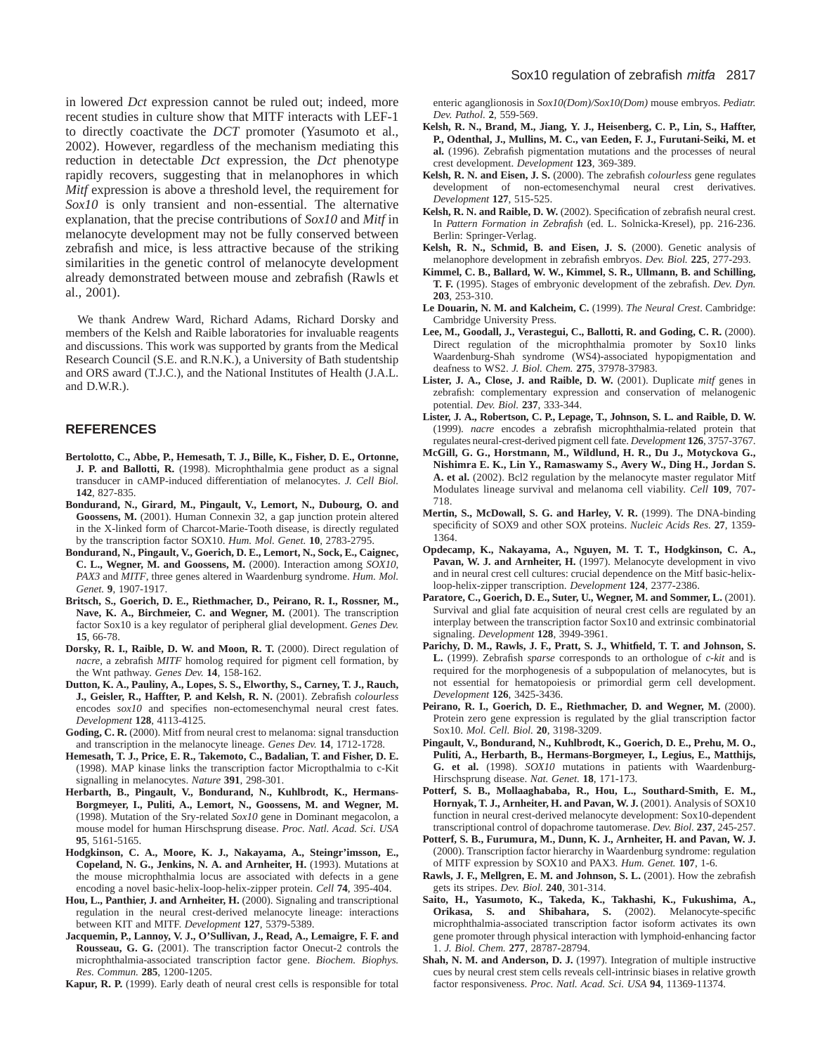in lowered *Dct* expression cannot be ruled out; indeed, more recent studies in culture show that MITF interacts with LEF-1 to directly coactivate the *DCT* promoter (Yasumoto et al., 2002). However, regardless of the mechanism mediating this reduction in detectable *Dct* expression, the *Dct* phenotype rapidly recovers, suggesting that in melanophores in which *Mitf* expression is above a threshold level, the requirement for *Sox10* is only transient and non-essential. The alternative explanation, that the precise contributions of *Sox10* and *Mitf* in melanocyte development may not be fully conserved between zebrafish and mice, is less attractive because of the striking similarities in the genetic control of melanocyte development already demonstrated between mouse and zebrafish (Rawls et al., 2001).

We thank Andrew Ward, Richard Adams, Richard Dorsky and members of the Kelsh and Raible laboratories for invaluable reagents and discussions. This work was supported by grants from the Medical Research Council (S.E. and R.N.K.), a University of Bath studentship and ORS award (T.J.C.), and the National Institutes of Health (J.A.L. and D.W.R.).

## **REFERENCES**

- **Bertolotto, C., Abbe, P., Hemesath, T. J., Bille, K., Fisher, D. E., Ortonne, J. P. and Ballotti, R.** (1998). Microphthalmia gene product as a signal transducer in cAMP-induced differentiation of melanocytes. *J. Cell Biol.* **142**, 827-835.
- **Bondurand, N., Girard, M., Pingault, V., Lemort, N., Dubourg, O. and Goossens, M.** (2001). Human Connexin 32, a gap junction protein altered in the X-linked form of Charcot-Marie-Tooth disease, is directly regulated by the transcription factor SOX10. *Hum. Mol. Genet.* **10**, 2783-2795.
- **Bondurand, N., Pingault, V., Goerich, D. E., Lemort, N., Sock, E., Caignec, C. L., Wegner, M. and Goossens, M.** (2000). Interaction among *SOX10*, *PAX3* and *MITF*, three genes altered in Waardenburg syndrome. *Hum. Mol. Genet.* **9**, 1907-1917.
- **Britsch, S., Goerich, D. E., Riethmacher, D., Peirano, R. I., Rossner, M., Nave, K. A., Birchmeier, C. and Wegner, M.** (2001). The transcription factor Sox10 is a key regulator of peripheral glial development. *Genes Dev.* **15**, 66-78.
- **Dorsky, R. I., Raible, D. W. and Moon, R. T.** (2000). Direct regulation of *nacre*, a zebrafish *MITF* homolog required for pigment cell formation, by the Wnt pathway. *Genes Dev.* **14**, 158-162.
- **Dutton, K. A., Pauliny, A., Lopes, S. S., Elworthy, S., Carney, T. J., Rauch, J., Geisler, R., Haffter, P. and Kelsh, R. N.** (2001). Zebrafish *colourless* encodes *sox10* and specifies non-ectomesenchymal neural crest fates. *Development* **128**, 4113-4125.
- **Goding, C. R.** (2000). Mitf from neural crest to melanoma: signal transduction and transcription in the melanocyte lineage. *Genes Dev.* **14**, 1712-1728.
- **Hemesath, T. J., Price, E. R., Takemoto, C., Badalian, T. and Fisher, D. E.** (1998). MAP kinase links the transcription factor Micropthalmia to c-Kit signalling in melanocytes. *Nature* **391**, 298-301.
- **Herbarth, B., Pingault, V., Bondurand, N., Kuhlbrodt, K., Hermans-Borgmeyer, I., Puliti, A., Lemort, N., Goossens, M. and Wegner, M.** (1998). Mutation of the Sry-related *Sox10* gene in Dominant megacolon, a mouse model for human Hirschsprung disease. *Proc. Natl. Acad. Sci. USA* **95**, 5161-5165.
- **Hodgkinson, C. A., Moore, K. J., Nakayama, A., Steingr'imsson, E., Copeland, N. G., Jenkins, N. A. and Arnheiter, H.** (1993). Mutations at the mouse microphthalmia locus are associated with defects in a gene encoding a novel basic-helix-loop-helix-zipper protein. *Cell* **74**, 395-404.
- **Hou, L., Panthier, J. and Arnheiter, H.** (2000). Signaling and transcriptional regulation in the neural crest-derived melanocyte lineage: interactions between KIT and MITF. *Development* **127**, 5379-5389.
- **Jacquemin, P., Lannoy, V. J., O'Sullivan, J., Read, A., Lemaigre, F. F. and Rousseau, G. G.** (2001). The transcription factor Onecut-2 controls the microphthalmia-associated transcription factor gene. *Biochem. Biophys. Res. Commun.* **285**, 1200-1205.

**Kapur, R. P.** (1999). Early death of neural crest cells is responsible for total

enteric aganglionosis in *Sox10(Dom)/Sox10(Dom)* mouse embryos. *Pediatr. Dev. Pathol.* **2**, 559-569.

- **Kelsh, R. N., Brand, M., Jiang, Y. J., Heisenberg, C. P., Lin, S., Haffter, P., Odenthal, J., Mullins, M. C., van Eeden, F. J., Furutani-Seiki, M. et al.** (1996). Zebrafish pigmentation mutations and the processes of neural crest development. *Development* **123**, 369-389.
- **Kelsh, R. N. and Eisen, J. S.** (2000). The zebrafish *colourless* gene regulates development of non-ectomesenchymal neural crest derivatives. *Development* **127**, 515-525.
- **Kelsh, R. N. and Raible, D. W.** (2002). Specification of zebrafish neural crest. In *Pattern Formation in Zebrafish* (ed. L. Solnicka-Kresel), pp. 216-236. Berlin: Springer-Verlag.
- **Kelsh, R. N., Schmid, B. and Eisen, J. S.** (2000). Genetic analysis of melanophore development in zebrafish embryos. *Dev. Biol.* **225**, 277-293.
- **Kimmel, C. B., Ballard, W. W., Kimmel, S. R., Ullmann, B. and Schilling, T. F.** (1995). Stages of embryonic development of the zebrafish. *Dev. Dyn.* **203**, 253-310.
- **Le Douarin, N. M. and Kalcheim, C.** (1999). *The Neural Crest*. Cambridge: Cambridge University Press.
- **Lee, M., Goodall, J., Verastegui, C., Ballotti, R. and Goding, C. R.** (2000). Direct regulation of the microphthalmia promoter by Sox10 links Waardenburg-Shah syndrome (WS4)-associated hypopigmentation and deafness to WS2. *J. Biol. Chem.* **275**, 37978-37983.
- **Lister, J. A., Close, J. and Raible, D. W.** (2001). Duplicate *mitf* genes in zebrafish: complementary expression and conservation of melanogenic potential. *Dev. Biol.* **237**, 333-344.
- **Lister, J. A., Robertson, C. P., Lepage, T., Johnson, S. L. and Raible, D. W.** (1999). *nacre* encodes a zebrafish microphthalmia-related protein that regulates neural-crest-derived pigment cell fate. *Development* **126**, 3757-3767.
- **McGill, G. G., Horstmann, M., Wildlund, H. R., Du J., Motyckova G., Nishimra E. K., Lin Y., Ramaswamy S., Avery W., Ding H., Jordan S. A. et al.** (2002). Bcl2 regulation by the melanocyte master regulator Mitf Modulates lineage survival and melanoma cell viability. *Cell* **109**, 707- 718.
- **Mertin, S., McDowall, S. G. and Harley, V. R.** (1999). The DNA-binding specificity of SOX9 and other SOX proteins. *Nucleic Acids Res.* **27**, 1359- 1364.
- **Opdecamp, K., Nakayama, A., Nguyen, M. T. T., Hodgkinson, C. A.,** Pavan, W. J. and Arnheiter, H. (1997). Melanocyte development in vivo and in neural crest cell cultures: crucial dependence on the Mitf basic-helixloop-helix-zipper transcription. *Development* **124**, 2377-2386.
- **Paratore, C., Goerich, D. E., Suter, U., Wegner, M. and Sommer, L.** (2001). Survival and glial fate acquisition of neural crest cells are regulated by an interplay between the transcription factor Sox10 and extrinsic combinatorial signaling. *Development* **128**, 3949-3961.
- **Parichy, D. M., Rawls, J. F., Pratt, S. J., Whitfield, T. T. and Johnson, S. L.** (1999). Zebrafish *sparse* corresponds to an orthologue of *c-kit* and is required for the morphogenesis of a subpopulation of melanocytes, but is not essential for hematopoiesis or primordial germ cell development. *Development* **126**, 3425-3436.
- **Peirano, R. I., Goerich, D. E., Riethmacher, D. and Wegner, M.** (2000). Protein zero gene expression is regulated by the glial transcription factor Sox10. *Mol. Cell. Biol.* **20**, 3198-3209.
- **Pingault, V., Bondurand, N., Kuhlbrodt, K., Goerich, D. E., Prehu, M. O., Puliti, A., Herbarth, B., Hermans-Borgmeyer, I., Legius, E., Matthijs, G. et al.** (1998). *SOX10* mutations in patients with Waardenburg-Hirschsprung disease. *Nat. Genet.* **18**, 171-173.
- **Potterf, S. B., Mollaaghababa, R., Hou, L., Southard-Smith, E. M., Hornyak, T. J., Arnheiter, H. and Pavan, W. J.** (2001). Analysis of SOX10 function in neural crest-derived melanocyte development: Sox10-dependent transcriptional control of dopachrome tautomerase. *Dev. Biol.* **237**, 245-257.
- **Potterf, S. B., Furumura, M., Dunn, K. J., Arnheiter, H. and Pavan, W. J.** (2000). Transcription factor hierarchy in Waardenburg syndrome: regulation of MITF expression by SOX10 and PAX3. *Hum. Genet.* **107**, 1-6.
- **Rawls, J. F., Mellgren, E. M. and Johnson, S. L.** (2001). How the zebrafish gets its stripes. *Dev. Biol.* **240**, 301-314.
- **Saito, H., Yasumoto, K., Takeda, K., Takhashi, K., Fukushima, A., Orikasa, S. and Shibahara, S.** (2002). Melanocyte-specific microphthalmia-associated transcription factor isoform activates its own gene promoter through physical interaction with lymphoid-enhancing factor 1. *J. Biol. Chem.* **277**, 28787-28794.
- **Shah, N. M. and Anderson, D. J.** (1997). Integration of multiple instructive cues by neural crest stem cells reveals cell-intrinsic biases in relative growth factor responsiveness. *Proc. Natl. Acad. Sci. USA* **94**, 11369-11374.